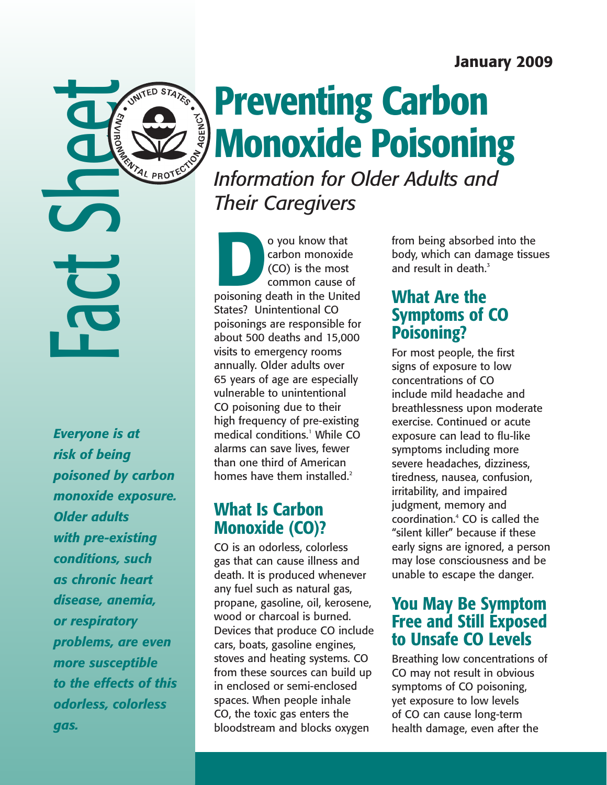### January 2009

**Preventing Carbon** Monoxide Poisoning *Information for Older Adults and* 

*Their Caregivers*

o you know that<br>
carbon monoxide<br>
(CO) is the most<br>
common cause of<br>
poisoning death in the United carbon monoxide (CO) is the most common cause of States? Unintentional CO poisonings are responsible for about 500 deaths and 15,000 visits to emergency rooms annually. Older adults over 65 years of age are especially vulnerable to unintentional CO poisoning due to their high frequency of pre-existing medical conditions.<sup>1</sup> While CO alarms can save lives, fewer than one third of American homes have them installed.<sup>2</sup>

# What Is Carbon Monoxide (CO)?

CO is an odorless, colorless gas that can cause illness and death. It is produced whenever any fuel such as natural gas, propane, gasoline, oil, kerosene, wood or charcoal is burned. Devices that produce CO include cars, boats, gasoline engines, stoves and heating systems. CO from these sources can build up in enclosed or semi-enclosed spaces. When people inhale CO, the toxic gas enters the bloodstream and blocks oxygen

from being absorbed into the body, which can damage tissues and result in death. $3$ 

### What Are the Symptoms of CO Poisoning?

For most people, the first signs of exposure to low concentrations of CO include mild headache and breathlessness upon moderate exercise. Continued or acute exposure can lead to flu-like symptoms including more severe headaches, dizziness, tiredness, nausea, confusion, irritability, and impaired judgment, memory and coordination.4 CO is called the "silent killer" because if these early signs are ignored, a person may lose consciousness and be unable to escape the danger.

### You May Be Symptom Free and Still Exposed to Unsafe CO Levels

Breathing low concentrations of CO may not result in obvious symptoms of CO poisoning, yet exposure to low levels of CO can cause long-term health damage, even after the

*Everyone is at risk of being poisoned by carbon monoxide exposure. Older adults with pre-existing conditions, such as chronic heart disease, anemia, or respiratory problems, are even more susceptible to the effects of this odorless, colorless gas.*

**ACTS SHEETERS**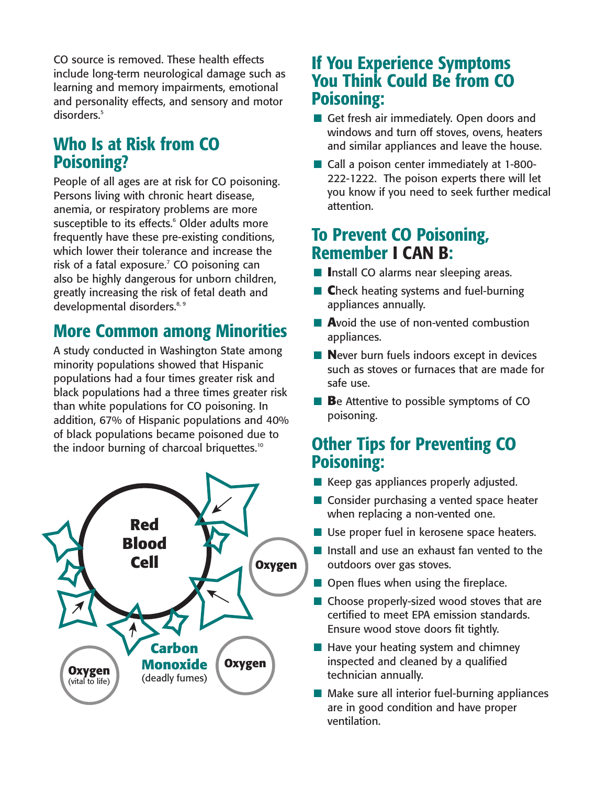CO source is removed. These health effects include long-term neurological damage such as learning and memory impairments, emotional and personality effects, and sensory and motor disorders.<sup>5</sup>

# Who Is at Risk from CO Poisoning?

People of all ages are at risk for CO poisoning. Persons living with chronic heart disease, anemia, or respiratory problems are more susceptible to its effects.<sup>6</sup> Older adults more frequently have these pre-existing conditions, which lower their tolerance and increase the risk of a fatal exposure. $<sup>7</sup>$  CO poisoning can</sup> also be highly dangerous for unborn children, greatly increasing the risk of fetal death and developmental disorders.<sup>8, 9</sup>

# More Common among Minorities

A study conducted in Washington State among minority populations showed that Hispanic populations had a four times greater risk and black populations had a three times greater risk than white populations for CO poisoning. In addition, 67% of Hispanic populations and 40% of black populations became poisoned due to the indoor burning of charcoal briquettes.<sup>10</sup>



## If You Experience Symptoms You Think Could Be from CO Poisoning:

- Get fresh air immediately. Open doors and windows and turn off stoves, ovens, heaters and similar appliances and leave the house.
- Call a poison center immediately at 1-800-222-1222. The poison experts there will let you know if you need to seek further medical attention.

# To Prevent CO Poisoning, Remember I CAN B:

- **n** Install CO alarms near sleeping areas.
- **n C**heck heating systems and fuel-burning appliances annually.
- **A**void the use of non-vented combustion appliances.
- **Never burn fuels indoors except in devices** such as stoves or furnaces that are made for safe use.
- **B**e Attentive to possible symptoms of CO poisoning.

# Other Tips for Preventing CO Poisoning:

- $\blacksquare$  Keep gas appliances properly adjusted.
- $\blacksquare$  Consider purchasing a vented space heater when replacing a non-vented one.
- $\blacksquare$  Use proper fuel in kerosene space heaters.
- $\blacksquare$  Install and use an exhaust fan vented to the outdoors over gas stoves.
- $\blacksquare$  Open flues when using the fireplace.
- $\blacksquare$  Choose properly-sized wood stoves that are certified to meet EPA emission standards. Ensure wood stove doors fit tightly.
- $\blacksquare$  Have your heating system and chimney inspected and cleaned by a qualified technician annually.
- $\blacksquare$  Make sure all interior fuel-burning appliances are in good condition and have proper ventilation.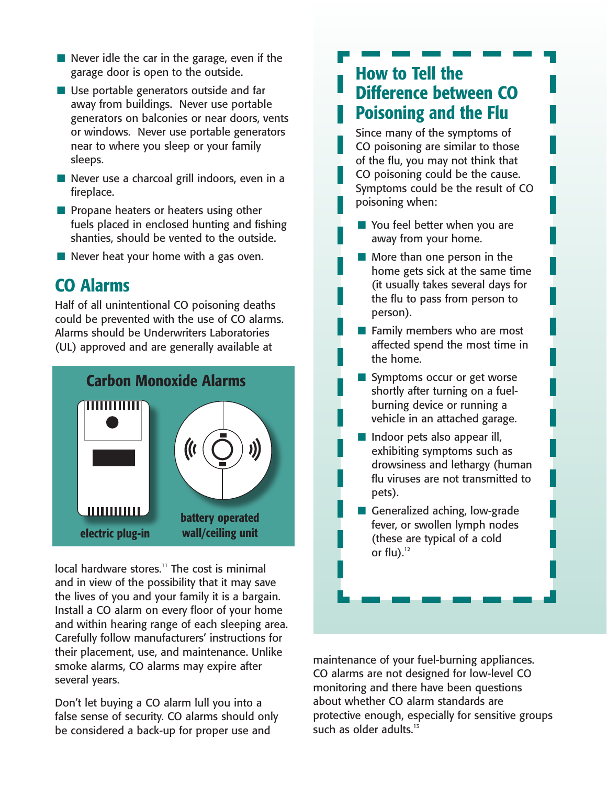- $\blacksquare$  Never idle the car in the garage, even if the garage door is open to the outside.
- $\blacksquare$  Use portable generators outside and far away from buildings. Never use portable generators on balconies or near doors, vents or windows. Never use portable generators near to where you sleep or your family sleeps.
- $\blacksquare$  Never use a charcoal grill indoors, even in a fireplace.
- $\blacksquare$  Propane heaters or heaters using other fuels placed in enclosed hunting and fishing shanties, should be vented to the outside.
- $\blacksquare$  Never heat your home with a gas oven.

### CO Alarms

Half of all unintentional CO poisoning deaths could be prevented with the use of CO alarms. Alarms should be Underwriters Laboratories (UL) approved and are generally available at



local hardware stores.<sup>11</sup> The cost is minimal and in view of the possibility that it may save the lives of you and your family it is a bargain. Install a CO alarm on every floor of your home and within hearing range of each sleeping area. Carefully follow manufacturers' instructions for their placement, use, and maintenance. Unlike smoke alarms, CO alarms may expire after several years.

Don't let buying a CO alarm lull you into a false sense of security. CO alarms should only be considered a back-up for proper use and

# How to Tell the Difference between CO Poisoning and the Flu

Since many of the symptoms of CO poisoning are similar to those of the flu, you may not think that CO poisoning could be the cause. Symptoms could be the result of CO poisoning when:

- $\blacksquare$  You feel better when you are away from your home.
- $\blacksquare$  More than one person in the home gets sick at the same time (it usually takes several days for the flu to pass from person to person).
- $\blacksquare$  Family members who are most affected spend the most time in the home.
- Symptoms occur or get worse shortly after turning on a fuelburning device or running a vehicle in an attached garage.
- $\blacksquare$  Indoor pets also appear ill, exhibiting symptoms such as drowsiness and lethargy (human flu viruses are not transmitted to pets).
- Generalized aching, low-grade fever, or swollen lymph nodes (these are typical of a cold or flu). $12$

maintenance of your fuel-burning appliances. CO alarms are not designed for low-level CO monitoring and there have been questions about whether CO alarm standards are protective enough, especially for sensitive groups such as older adults.<sup>13</sup>